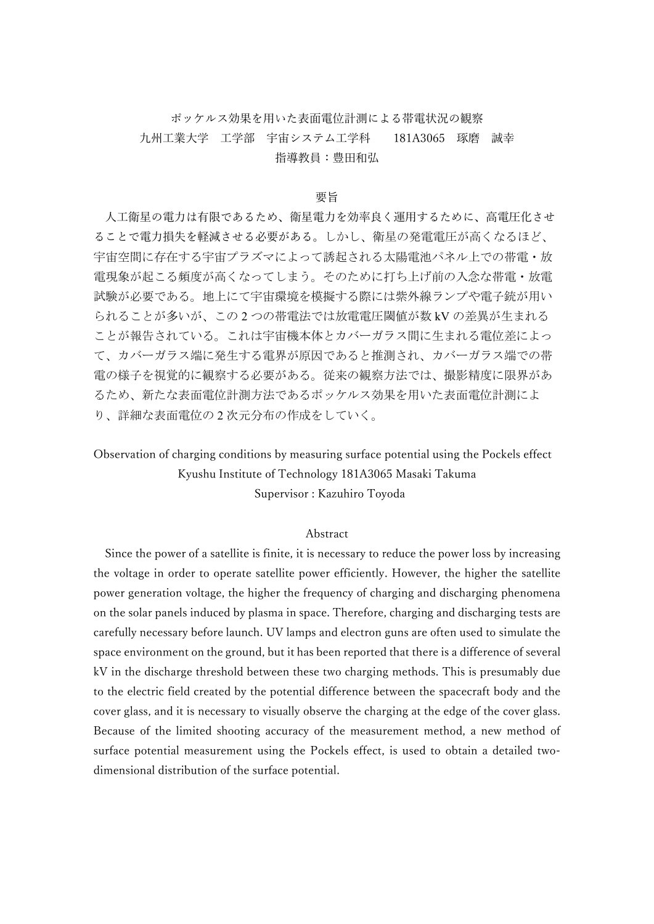# ポッケルス効果を用いた表面電位計測による帯電状況の観察 九州工業大学 工学部 宇宙システム工学科 181A3065 琢磨 誠幸 指導教員:豊田和弘

#### 要旨

人工衛星の電力は有限であるため、衛星電力を効率良く運用するために、高電圧化させ ることで電力損失を軽減させる必要がある。しかし、衛星の発電電圧が高くなるほど、 宇宙空間に存在する宇宙プラズマによって誘起される太陽電池パネル上での帯電・放 電現象が起こる頻度が高くなってしまう。そのために打ち上げ前の入念な帯電・放電 試験が必要である。地上にて宇宙環境を模擬する際には紫外線ランプや電子銃が用い られることが多いが、この 2 つの帯電法では放電電圧閾値が数 kV の差異が生まれる ことが報告されている。これは宇宙機本体とカバーガラス間に生まれる電位差によっ て、カバーガラス端に発生する電界が原因であると推測され、カバーガラス端での帯 電の様子を視覚的に観察する必要がある。従来の観察方法では、撮影精度に限界があ るため、新たな表面電位計測方法であるポッケルス効果を用いた表面電位計測によ り、詳細な表面電位の 2 次元分布の作成をしていく。

# Observation of charging conditions by measuring surface potential using the Pockels effect Kyushu Institute of Technology 181A3065 Masaki Takuma Supervisor : Kazuhiro Toyoda

### Abstract

Since the power of a satellite is finite, it is necessary to reduce the power loss by increasing the voltage in order to operate satellite power efficiently. However, the higher the satellite power generation voltage, the higher the frequency of charging and discharging phenomena on the solar panels induced by plasma in space. Therefore, charging and discharging tests are carefully necessary before launch. UV lamps and electron guns are often used to simulate the space environment on the ground, but it has been reported that there is a difference of several kV in the discharge threshold between these two charging methods. This is presumably due to the electric field created by the potential difference between the spacecraft body and the cover glass, and it is necessary to visually observe the charging at the edge of the cover glass. Because of the limited shooting accuracy of the measurement method, a new method of surface potential measurement using the Pockels effect, is used to obtain a detailed twodimensional distribution of the surface potential.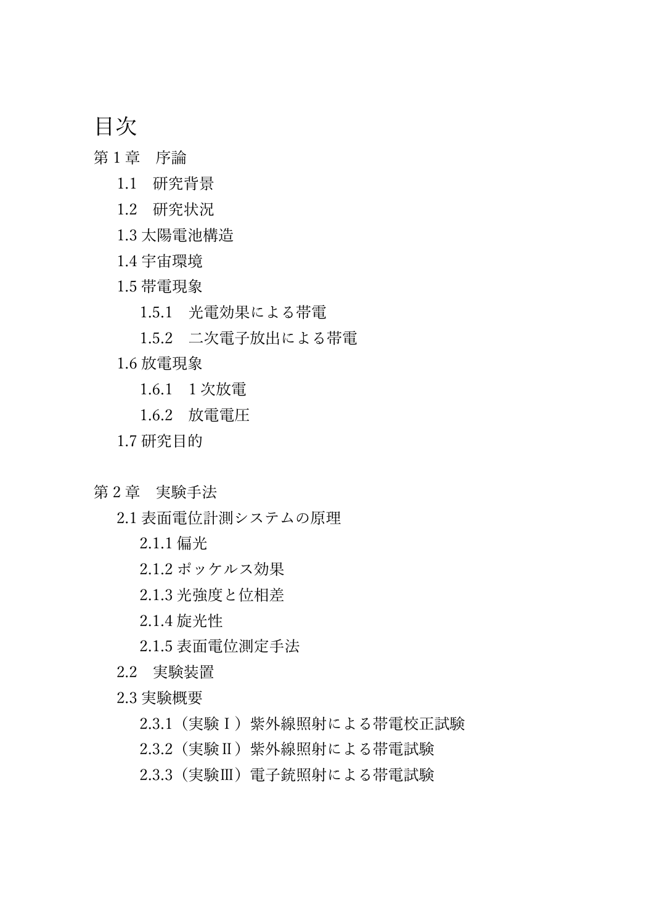目次

- 第1章 序論
	- 1.1 研究背景
	- 1.2 研究状況
	- 1.3 太陽電池構造
	- 1.4 宇宙環境
	- 1.5 帯電現象
		- 1.5.1 光電効果による帯電
		- 1.5.2 二次電子放出による帯電
	- 1.6 放電現象
		- 1.6.1 1 次放電
		- 1.6.2 放電電圧
	- 1.7 研究目的
- 第2章 実験手法
	- 2.1 表面電位計測システムの原理
		- 2.1.1 偏光
		- 2.1.2 ポッケルス効果
		- 2.1.3 光強度と位相差
		- 2.1.4 旋光性
		- 2.1.5 表面電位測定手法
	- 2.2 実験装置
	- 2.3 実験概要
		- 2.3.1(実験Ⅰ)紫外線照射による帯電校正試験
		- 2.3.2(実験Ⅱ)紫外線照射による帯電試験
		- 2.3.3 (実験Ⅲ) 電子銃照射による帯電試験